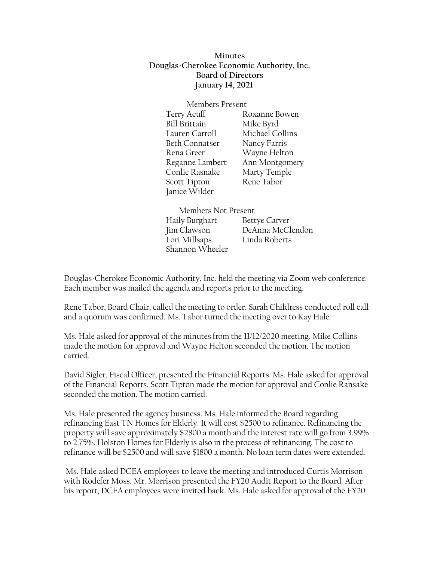**Minutes Douglas-Cherokee Economic Authority, Inc. Board of Directors January 14, 2021**

Members Present Terry Acuff Roxanne Bowen Bill Brittain Mike Byrd Lauren Carroll Michael Collins Beth Connatser Nancy Farris Rena Greer Wayne Helton Reganne Lambert Ann Montgomery Conlie Rasnake Marty Temple Scott Tipton Rene Tabor Janice Wilder

Members Not Present Haily Burghart Bettye Carver Jim Clawson DeAnna McClendon Lori Millsaps Linda Roberts Shannon Wheeler

Douglas-Cherokee Economic Authority, Inc. held the meeting via Zoom web conference. Each member was mailed the agenda and reports prior to the meeting.

Rene Tabor, Board Chair, called the meeting to order. Sarah Childress conducted roll call and a quorum was confirmed. Ms. Tabor turned the meeting over to Kay Hale.

Ms. Hale asked for approval of the minutes from the 11/12/2020 meeting. Mike Collins made the motion for approval and Wayne Helton seconded the motion. The motion carried.

David Sigler, Fiscal Officer, presented the Financial Reports. Ms. Hale asked for approval of the Financial Reports. Scott Tipton made the motion for approval and Conlie Ransake seconded the motion. The motion carried.

Ms. Hale presented the agency business. Ms. Hale informed the Board regarding refinancing East TN Homes for Elderly. It will cost \$2500 to refinance. Refinancing the property will save approximately \$2800 a month and the interest rate will go from 3.99% to 2.75%. Holston Homes for Elderly is also in the process of refinancing. The cost to refinance will be \$2500 and will save \$1800 a month. No loan term dates were extended.

Ms. Hale asked DCEA employees to leave the meeting and introduced Curtis Morrison with Rodefer Moss. Mr. Morrison presented the FY20 Audit Report to the Board. After his report, DCEA employees were invited back. Ms. Hale asked for approval of the FY20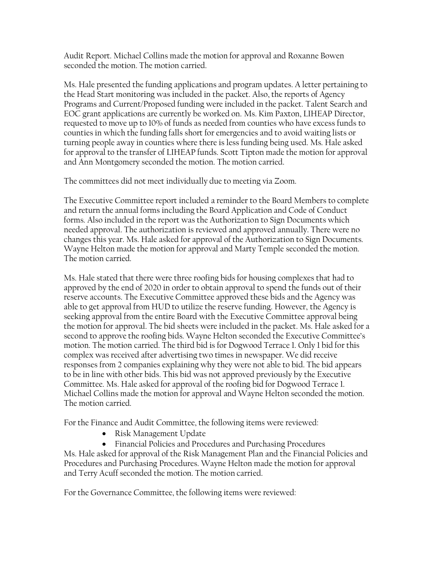Audit Report. Michael Collins made the motion for approval and Roxanne Bowen seconded the motion. The motion carried.

Ms. Hale presented the funding applications and program updates. A letter pertaining to the Head Start monitoring was included in the packet. Also, the reports of Agency Programs and Current/Proposed funding were included in the packet. Talent Search and EOC grant applications are currently be worked on. Ms. Kim Paxton, LIHEAP Director, requested to move up to 10% of funds as needed from counties who have excess funds to counties in which the funding falls short for emergencies and to avoid waiting lists or turning people away in counties where there is less funding being used. Ms. Hale asked for approval to the transfer of LIHEAP funds. Scott Tipton made the motion for approval and Ann Montgomery seconded the motion. The motion carried.

The committees did not meet individually due to meeting via Zoom.

The Executive Committee report included a reminder to the Board Members to complete and return the annual forms including the Board Application and Code of Conduct forms. Also included in the report was the Authorization to Sign Documents which needed approval. The authorization is reviewed and approved annually. There were no changes this year. Ms. Hale asked for approval of the Authorization to Sign Documents. Wayne Helton made the motion for approval and Marty Temple seconded the motion. The motion carried.

Ms. Hale stated that there were three roofing bids for housing complexes that had to approved by the end of 2020 in order to obtain approval to spend the funds out of their reserve accounts. The Executive Committee approved these bids and the Agency was able to get approval from HUD to utilize the reserve funding. However, the Agency is seeking approval from the entire Board with the Executive Committee approval being the motion for approval. The bid sheets were included in the packet. Ms. Hale asked for a second to approve the roofing bids. Wayne Helton seconded the Executive Committee's motion. The motion carried. The third bid is for Dogwood Terrace 1. Only 1 bid for this complex was received after advertising two times in newspaper. We did receive responses from 2 companies explaining why they were not able to bid. The bid appears to be in line with other bids. This bid was not approved previously by the Executive Committee. Ms. Hale asked for approval of the roofing bid for Dogwood Terrace 1. Michael Collins made the motion for approval and Wayne Helton seconded the motion. The motion carried.

For the Finance and Audit Committee, the following items were reviewed:

- Risk Management Update
- Financial Policies and Procedures and Purchasing Procedures

Ms. Hale asked for approval of the Risk Management Plan and the Financial Policies and Procedures and Purchasing Procedures. Wayne Helton made the motion for approval and Terry Acuff seconded the motion. The motion carried.

For the Governance Committee, the following items were reviewed: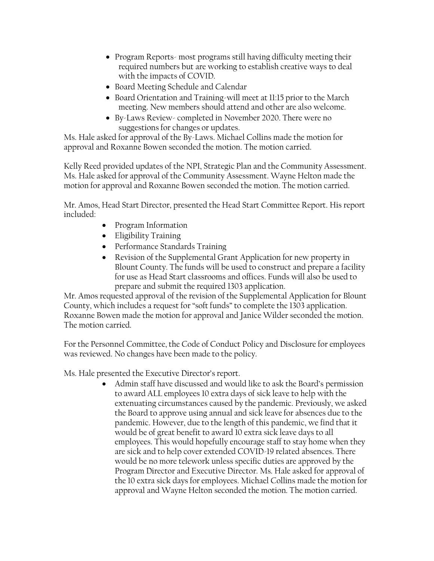- Program Reports- most programs still having difficulty meeting their required numbers but are working to establish creative ways to deal with the impacts of COVID.
- Board Meeting Schedule and Calendar
- Board Orientation and Training-will meet at 11:15 prior to the March meeting. New members should attend and other are also welcome.
- By-Laws Review- completed in November 2020. There were no suggestions for changes or updates.

Ms. Hale asked for approval of the By-Laws. Michael Collins made the motion for approval and Roxanne Bowen seconded the motion. The motion carried.

Kelly Reed provided updates of the NPI, Strategic Plan and the Community Assessment. Ms. Hale asked for approval of the Community Assessment. Wayne Helton made the motion for approval and Roxanne Bowen seconded the motion. The motion carried.

Mr. Amos, Head Start Director, presented the Head Start Committee Report. His report included:

- Program Information
- Eligibility Training
- Performance Standards Training
- Revision of the Supplemental Grant Application for new property in Blount County. The funds will be used to construct and prepare a facility for use as Head Start classrooms and offices. Funds will also be used to prepare and submit the required 1303 application.

Mr. Amos requested approval of the revision of the Supplemental Application for Blount County, which includes a request for "soft funds" to complete the 1303 application. Roxanne Bowen made the motion for approval and Janice Wilder seconded the motion. The motion carried.

For the Personnel Committee, the Code of Conduct Policy and Disclosure for employees was reviewed. No changes have been made to the policy.

Ms. Hale presented the Executive Director's report.

• Admin staff have discussed and would like to ask the Board's permission to award ALL employees 10 extra days of sick leave to help with the extenuating circumstances caused by the pandemic. Previously, we asked the Board to approve using annual and sick leave for absences due to the pandemic. However, due to the length of this pandemic, we find that it would be of great benefit to award 10 extra sick leave days to all employees. This would hopefully encourage staff to stay home when they are sick and to help cover extended COVID-19 related absences. There would be no more telework unless specific duties are approved by the Program Director and Executive Director. Ms. Hale asked for approval of the 10 extra sick days for employees. Michael Collins made the motion for approval and Wayne Helton seconded the motion. The motion carried.